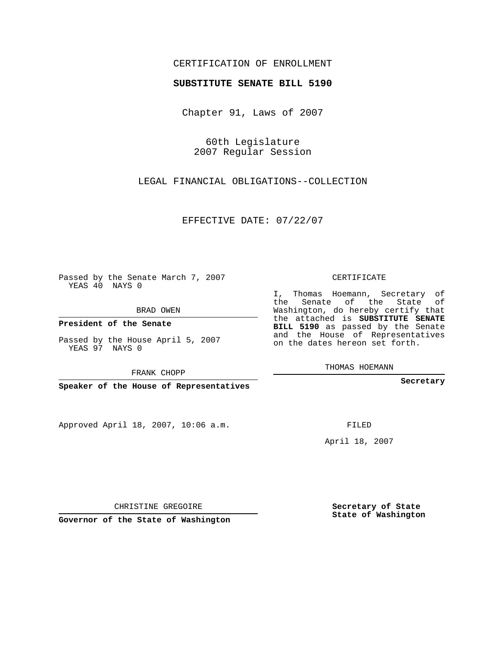## CERTIFICATION OF ENROLLMENT

## **SUBSTITUTE SENATE BILL 5190**

Chapter 91, Laws of 2007

60th Legislature 2007 Regular Session

LEGAL FINANCIAL OBLIGATIONS--COLLECTION

EFFECTIVE DATE: 07/22/07

Passed by the Senate March 7, 2007 YEAS 40 NAYS 0

BRAD OWEN

**President of the Senate**

Passed by the House April 5, 2007 YEAS 97 NAYS 0

FRANK CHOPP

**Speaker of the House of Representatives**

Approved April 18, 2007, 10:06 a.m.

CERTIFICATE

I, Thomas Hoemann, Secretary of the Senate of the State of Washington, do hereby certify that the attached is **SUBSTITUTE SENATE BILL 5190** as passed by the Senate and the House of Representatives on the dates hereon set forth.

THOMAS HOEMANN

**Secretary**

FILED

April 18, 2007

CHRISTINE GREGOIRE

**Governor of the State of Washington**

**Secretary of State State of Washington**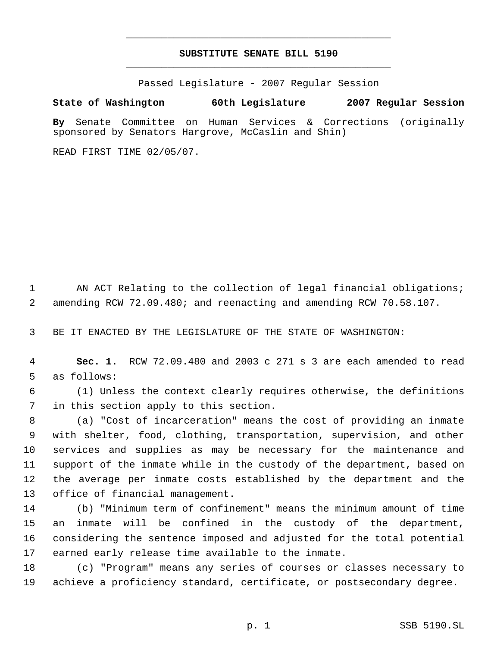## **SUBSTITUTE SENATE BILL 5190** \_\_\_\_\_\_\_\_\_\_\_\_\_\_\_\_\_\_\_\_\_\_\_\_\_\_\_\_\_\_\_\_\_\_\_\_\_\_\_\_\_\_\_\_\_

\_\_\_\_\_\_\_\_\_\_\_\_\_\_\_\_\_\_\_\_\_\_\_\_\_\_\_\_\_\_\_\_\_\_\_\_\_\_\_\_\_\_\_\_\_

Passed Legislature - 2007 Regular Session

## **State of Washington 60th Legislature 2007 Regular Session**

**By** Senate Committee on Human Services & Corrections (originally sponsored by Senators Hargrove, McCaslin and Shin)

READ FIRST TIME 02/05/07.

1 AN ACT Relating to the collection of legal financial obligations; amending RCW 72.09.480; and reenacting and amending RCW 70.58.107.

BE IT ENACTED BY THE LEGISLATURE OF THE STATE OF WASHINGTON:

 **Sec. 1.** RCW 72.09.480 and 2003 c 271 s 3 are each amended to read as follows:

 (1) Unless the context clearly requires otherwise, the definitions in this section apply to this section.

 (a) "Cost of incarceration" means the cost of providing an inmate with shelter, food, clothing, transportation, supervision, and other services and supplies as may be necessary for the maintenance and support of the inmate while in the custody of the department, based on the average per inmate costs established by the department and the office of financial management.

 (b) "Minimum term of confinement" means the minimum amount of time an inmate will be confined in the custody of the department, considering the sentence imposed and adjusted for the total potential earned early release time available to the inmate.

 (c) "Program" means any series of courses or classes necessary to achieve a proficiency standard, certificate, or postsecondary degree.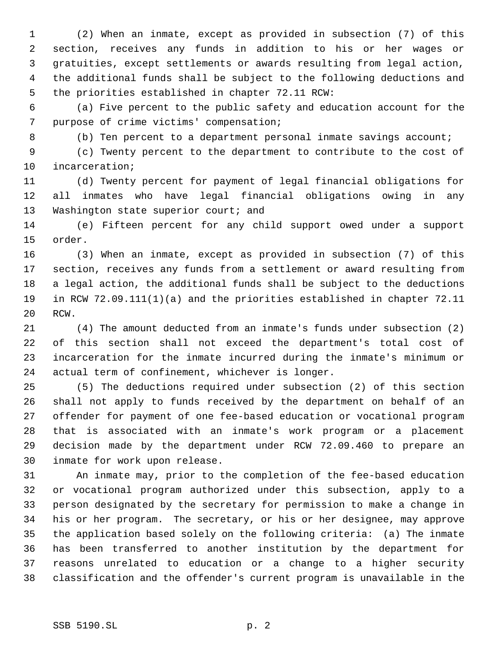(2) When an inmate, except as provided in subsection (7) of this section, receives any funds in addition to his or her wages or gratuities, except settlements or awards resulting from legal action, the additional funds shall be subject to the following deductions and the priorities established in chapter 72.11 RCW:

 (a) Five percent to the public safety and education account for the purpose of crime victims' compensation;

(b) Ten percent to a department personal inmate savings account;

 (c) Twenty percent to the department to contribute to the cost of incarceration;

 (d) Twenty percent for payment of legal financial obligations for all inmates who have legal financial obligations owing in any 13 Washington state superior court; and

 (e) Fifteen percent for any child support owed under a support order.

 (3) When an inmate, except as provided in subsection (7) of this section, receives any funds from a settlement or award resulting from a legal action, the additional funds shall be subject to the deductions in RCW 72.09.111(1)(a) and the priorities established in chapter 72.11 RCW.

 (4) The amount deducted from an inmate's funds under subsection (2) of this section shall not exceed the department's total cost of incarceration for the inmate incurred during the inmate's minimum or actual term of confinement, whichever is longer.

 (5) The deductions required under subsection (2) of this section shall not apply to funds received by the department on behalf of an offender for payment of one fee-based education or vocational program that is associated with an inmate's work program or a placement decision made by the department under RCW 72.09.460 to prepare an inmate for work upon release.

 An inmate may, prior to the completion of the fee-based education or vocational program authorized under this subsection, apply to a person designated by the secretary for permission to make a change in his or her program. The secretary, or his or her designee, may approve the application based solely on the following criteria: (a) The inmate has been transferred to another institution by the department for reasons unrelated to education or a change to a higher security classification and the offender's current program is unavailable in the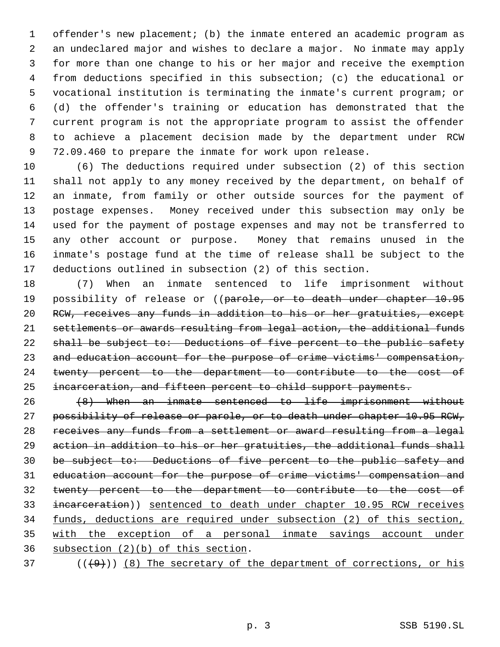offender's new placement; (b) the inmate entered an academic program as an undeclared major and wishes to declare a major. No inmate may apply for more than one change to his or her major and receive the exemption from deductions specified in this subsection; (c) the educational or vocational institution is terminating the inmate's current program; or (d) the offender's training or education has demonstrated that the current program is not the appropriate program to assist the offender to achieve a placement decision made by the department under RCW 72.09.460 to prepare the inmate for work upon release.

 (6) The deductions required under subsection (2) of this section shall not apply to any money received by the department, on behalf of an inmate, from family or other outside sources for the payment of postage expenses. Money received under this subsection may only be used for the payment of postage expenses and may not be transferred to any other account or purpose. Money that remains unused in the inmate's postage fund at the time of release shall be subject to the deductions outlined in subsection (2) of this section.

 (7) When an inmate sentenced to life imprisonment without 19 possibility of release or ((parole, or to death under chapter 10.95 RCW, receives any funds in addition to his or her gratuities, except settlements or awards resulting from legal action, the additional funds 22 shall be subject to: Deductions of five percent to the public safety 23 and education account for the purpose of crime victims' compensation, twenty percent to the department to contribute to the cost of incarceration, and fifteen percent to child support payments.

 (8) When an inmate sentenced to life imprisonment without 27 possibility of release or parole, or to death under chapter 10.95 RCW, receives any funds from a settlement or award resulting from a legal 29 action in addition to his or her gratuities, the additional funds shall be subject to: Deductions of five percent to the public safety and education account for the purpose of crime victims' compensation and twenty percent to the department to contribute to the cost of incarceration)) sentenced to death under chapter 10.95 RCW receives funds, deductions are required under subsection (2) of this section, with the exception of a personal inmate savings account under subsection (2)(b) of this section.

( $(\overline{+9})$ ) (8) The secretary of the department of corrections, or his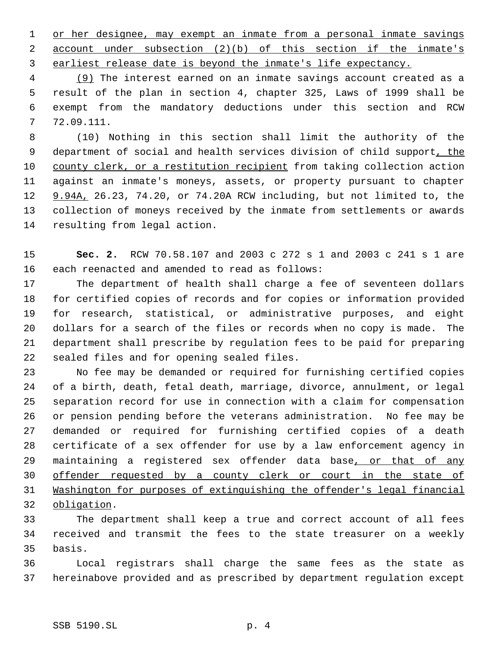or her designee, may exempt an inmate from a personal inmate savings account under subsection (2)(b) of this section if the inmate's earliest release date is beyond the inmate's life expectancy.

 (9) The interest earned on an inmate savings account created as a result of the plan in section 4, chapter 325, Laws of 1999 shall be exempt from the mandatory deductions under this section and RCW 72.09.111.

 (10) Nothing in this section shall limit the authority of the 9 department of social and health services division of child support, the county clerk, or a restitution recipient from taking collection action against an inmate's moneys, assets, or property pursuant to chapter 9.94A, 26.23, 74.20, or 74.20A RCW including, but not limited to, the collection of moneys received by the inmate from settlements or awards resulting from legal action.

 **Sec. 2.** RCW 70.58.107 and 2003 c 272 s 1 and 2003 c 241 s 1 are each reenacted and amended to read as follows:

 The department of health shall charge a fee of seventeen dollars for certified copies of records and for copies or information provided for research, statistical, or administrative purposes, and eight dollars for a search of the files or records when no copy is made. The department shall prescribe by regulation fees to be paid for preparing sealed files and for opening sealed files.

 No fee may be demanded or required for furnishing certified copies of a birth, death, fetal death, marriage, divorce, annulment, or legal separation record for use in connection with a claim for compensation or pension pending before the veterans administration. No fee may be demanded or required for furnishing certified copies of a death certificate of a sex offender for use by a law enforcement agency in 29 maintaining a registered sex offender data base, or that of any offender requested by a county clerk or court in the state of Washington for purposes of extinguishing the offender's legal financial obligation.

 The department shall keep a true and correct account of all fees received and transmit the fees to the state treasurer on a weekly basis.

 Local registrars shall charge the same fees as the state as hereinabove provided and as prescribed by department regulation except